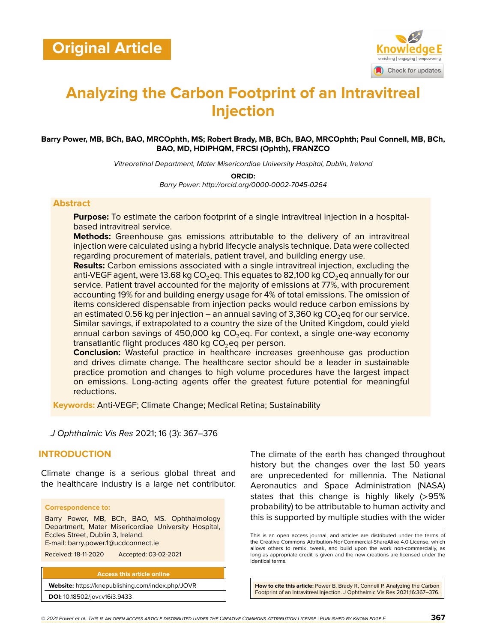

# **Analyzing the Carbon Footprint of an Intravitreal Injection**

#### **Barry Power, MB, BCh, BAO, MRCOphth, MS; Robert Brady, MB, BCh, BAO, MRCOphth; Paul Connell, MB, BCh, BAO, MD, HDIPHQM, FRCSI (Ophth), FRANZCO**

*Vitreoretinal Department, Mater Misericordiae University Hospital, Dublin, Ireland*

**ORCID:**

*Barry Power: http://orcid.org/0000-0002-7045-0264*

#### **Abstract**

**Purpose:** To estimate the carbon footprint of a single intravitreal injection in a hospitalbased intravitreal service.

**Methods:** Greenhouse gas emissions attributable to the delivery of an intravitreal injection were calculated using a hybrid lifecycle analysis technique. Data were collected regarding procurement of materials, patient travel, and building energy use.

**Results:** Carbon emissions associated with a single intravitreal injection, excluding the anti-VEGF agent, were 13.68 kg CO<sub>2</sub>eq. This equates to 82,100 kg CO<sub>2</sub>eq annually for our service. Patient travel accounted for the majority of emissions at 77%, with procurement accounting 19% for and building energy usage for 4% of total emissions. The omission of items considered dispensable from injection packs would reduce carbon emissions by an estimated 0.56 kg per injection – an annual saving of 3,360 kg  $CO<sub>2</sub>$ eg for our service. Similar savings, if extrapolated to a country the size of the United Kingdom, could yield annual carbon savings of 450,000 kg  $CO_2$ eq. For context, a single one-way economy transatlantic flight produces 480 kg  $CO<sub>2</sub>$ eq per person.

**Conclusion:** Wasteful practice in healthcare increases greenhouse gas production and drives climate change. The healthcare sector should be a leader in sustainable practice promotion and changes to high volume procedures have the largest impact on emissions. Long-acting agents offer the greatest future potential for meaningful reductions.

**Keywords:** Anti-VEGF; Climate Change; Medical Retina; Sustainability

*J Ophthalmic Vis Res* 2021; 16 (3): 367–376

## **INTRODUCTION**

Climate change is a serious global threat and the healthcare industry is a large net contributor.

#### **Correspondence to:**

Barry Power, MB, BCh, BAO, MS. Ophthalmology Department, Mater Misericordiae University Hospital, Eccles Street, Dublin 3, Ireland. E-mail: barry.power.1@ucdconnect.ie

Received: 18-11-2020 Accepted: 03-02-2021

**Access this article online Website:** <https://knepublishing.com/index.php/JOVR> **DOI:** 10.18502/jovr.v16i3.9433

The climate of the earth has changed throughout history but the changes over the last 50 years are unprecedented for millennia. The National Aeronautics and Space Administration (NASA) states that this change is highly likely (>95% probability) to be attributable to human activity and this is supported by multiple studies with the wider

**How to cite this article:** Power B, Brady R, Connell P. Analyzing the Carbon Footprint of an Intravitreal Injection. J Ophthalmic Vis Res 2021;16:367–376.

This is an open access journal, and articles are distributed under the terms of the Creative Commons Attribution-NonCommercial-ShareAlike 4.0 License, which allows others to remix, tweak, and build upon the work non-commercially, as long as appropriate credit is given and the new creations are licensed under the identical terms.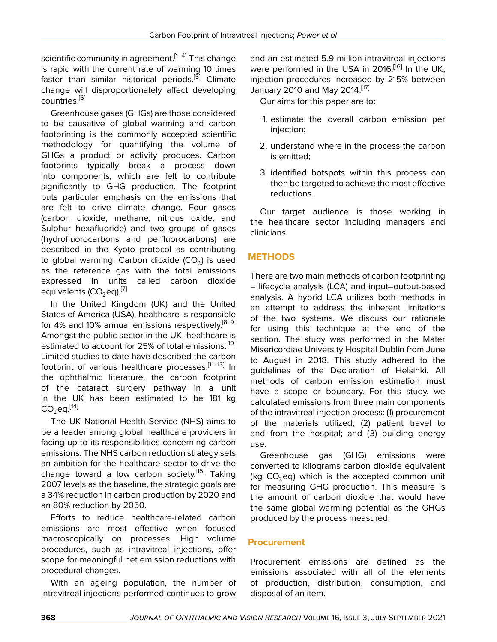scientific community in agreement.  $[1-4]$  $[1-4]$  $[1-4]$  $[1-4]$  $[1-4]$  This change is rapid with the current rate of warming 10 times faster than similar historical periods.<sup>[[5](#page-8-2)]</sup> Climate change will disproportionately affect developing countries<sup>[\[6\]](#page-8-3)</sup>

Greenhouse gases (GHGs) are those considered to be causative of global warming and carbon footprinting is the commonly accepted scientific methodology for quantifying the volume of GHGs a product or activity produces. Carbon footprints typically break a process down into components, which are felt to contribute significantly to GHG production. The footprint puts particular emphasis on the emissions that are felt to drive climate change. Four gases (carbon dioxide, methane, nitrous oxide, and Sulphur hexafluoride) and two groups of gases (hydrofluorocarbons and perfluorocarbons) are described in the Kyoto protocol as contributing to global warming. Carbon dioxide (CO $_2$ ) is used as the reference gas with the total emissions expressed in units called carbon dioxide equivalents  $(CO_2$ eq).<sup>[[7\]](#page-8-4)</sup>

In the United Kingdom (UK) and the United States of America (USA), healthcare is responsible for 4% and 10% annual emissions respectively.<sup>[[8](#page-8-5), [9](#page-8-6)]</sup> Amongst the public sector in the UK, healthcare is estimated to account for 25% of total emissions.<sup>[\[10](#page-8-7)]</sup> Limited studies to date have described the carbon footprint of various healthcare processes.<sup>[\[11](#page-8-8)–[13\]](#page-8-9)</sup> In the ophthalmic literature, the carbon footprint of the cataract surgery pathway in a unit in the UK has been estimated to be 181 kg  $CO<sub>2</sub>$ eq.<sup>[[14](#page-8-10)]</sup>

The UK National Health Service (NHS) aims to be a leader among global healthcare providers in facing up to its responsibilities concerning carbon emissions. The NHS carbon reduction strategy sets an ambition for the healthcare sector to drive the change toward a low carbon society.<sup>[\[15](#page-8-11)]</sup> Taking 2007 levels as the baseline, the strategic goals are a 34% reduction in carbon production by 2020 and an 80% reduction by 2050.

Efforts to reduce healthcare-related carbon emissions are most effective when focused macroscopically on processes. High volume procedures, such as intravitreal injections, offer scope for meaningful net emission reductions with procedural changes.

With an ageing population, the number of intravitreal injections performed continues to grow

and an estimated 5.9 million intravitreal injections were performed in the USA in 2016.<sup>[[16\]](#page-8-12)</sup> In the UK, injection procedures increased by 215% between January 2010 and May 2014.[\[17\]](#page-8-13)

Our aims for this paper are to:

- 1. estimate the overall carbon emission per injection;
- 2. understand where in the process the carbon is emitted;
- 3. identified hotspots within this process can then be targeted to achieve the most effective reductions.

Our target audience is those working in the healthcare sector including managers and clinicians.

## **METHODS**

There are two main methods of carbon footprinting – lifecycle analysis (LCA) and input–output-based analysis. A hybrid LCA utilizes both methods in an attempt to address the inherent limitations of the two systems. We discuss our rationale for using this technique at the end of the section. The study was performed in the Mater Misericordiae University Hospital Dublin from June to August in 2018. This study adhered to the guidelines of the Declaration of Helsinki. All methods of carbon emission estimation must have a scope or boundary. For this study, we calculated emissions from three main components of the intravitreal injection process: (1) procurement of the materials utilized; (2) patient travel to and from the hospital; and (3) building energy use.

Greenhouse gas (GHG) emissions were converted to kilograms carbon dioxide equivalent (kg  $CO<sub>2</sub>$ eq) which is the accepted common unit for measuring GHG production. This measure is the amount of carbon dioxide that would have the same global warming potential as the GHGs produced by the process measured.

## **Procurement**

Procurement emissions are defined as the emissions associated with all of the elements of production, distribution, consumption, and disposal of an item.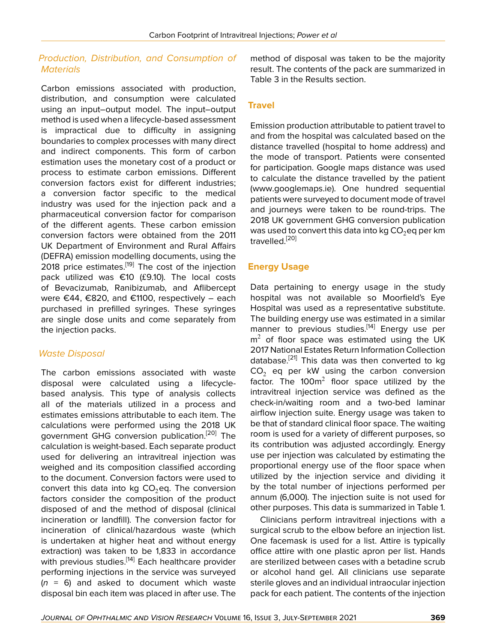## *Production, Distribution, and Consumption of Materials*

Carbon emissions associated with production, distribution, and consumption were calculated using an input–output model. The input–output method is used when a lifecycle-based assessment is impractical due to difficulty in assigning boundaries to complex processes with many direct and indirect components. This form of carbon estimation uses the monetary cost of a product or process to estimate carbon emissions. Different conversion factors exist for different industries; a conversion factor specific to the medical industry was used for the injection pack and a pharmaceutical conversion factor for comparison of the different agents. These carbon emission conversion factors were obtained from the 2011 UK Department of Environment and Rural Affairs (DEFRA) emission modelling documents, using the 2018 price estimates.<sup>[\[19](#page-8-14)]</sup> The cost of the injection pack utilized was €10 (£9.10). The local costs of Bevacizumab, Ranibizumab, and Aflibercept were €44, €820, and €1100, respectively – each purchased in prefilled syringes. These syringes are single dose units and come separately from the injection packs.

## *Waste Disposal*

The carbon emissions associated with waste disposal were calculated using a lifecyclebased analysis. This type of analysis collects all of the materials utilized in a process and estimates emissions attributable to each item. The calculations were performed using the 2018 UK government GHG conversion publication.<sup>[[20\]](#page-8-15)</sup> The calculation is weight-based. Each separate product used for delivering an intravitreal injection was weighed and its composition classified according to the document. Conversion factors were used to convert this data into kg  $CO<sub>2</sub>$ eq. The conversion factors consider the composition of the product disposed of and the method of disposal (clinical incineration or landfill). The conversion factor for incineration of clinical/hazardous waste (which is undertaken at higher heat and without energy extraction) was taken to be 1,833 in accordance with previous studies.<sup>[\[14](#page-8-10)]</sup> Each healthcare provider performing injections in the service was surveyed (*n* = 6) and asked to document which waste disposal bin each item was placed in after use. The

method of disposal was taken to be the majority result. The contents of the pack are summarized in Table 3 in the Results section.

# **Travel**

Emission production attributable to patient travel to and from the hospital was calculated based on the distance travelled (hospital to home address) and the mode of transport. Patients were consented for participation. Google maps distance was used to calculate the distance travelled by the patient [\(www.googlemaps.ie\)](www.googlemaps.ie). One hundred sequential patients were surveyed to document mode of travel and journeys were taken to be round-trips. The 2018 UK government GHG conversion publication was used to convert this data into kg  $CO<sub>2</sub>$ eq per km travelled.[\[20\]](#page-8-15)

## **Energy Usage**

Data pertaining to energy usage in the study hospital was not available so Moorfield's Eye Hospital was used as a representative substitute. The building energy use was estimated in a similar manner to previous studies.<sup>[\[14](#page-8-10)]</sup> Energy use per  $m<sup>2</sup>$  of floor space was estimated using the UK 2017 National Estates Return Information Collection database.<sup>[\[21](#page-8-16)]</sup> This data was then converted to kg  $CO<sub>2</sub>$  eq per kW using the carbon conversion factor. The 100 $m^2$  floor space utilized by the intravitreal injection service was defined as the check-in/waiting room and a two-bed laminar airflow injection suite. Energy usage was taken to be that of standard clinical floor space. The waiting room is used for a variety of different purposes, so its contribution was adjusted accordingly. Energy use per injection was calculated by estimating the proportional energy use of the floor space when utilized by the injection service and dividing it by the total number of injections performed per annum (6,000). The injection suite is not used for other purposes. This data is summarized in Table 1.

Clinicians perform intravitreal injections with a surgical scrub to the elbow before an injection list. One facemask is used for a list. Attire is typically office attire with one plastic apron per list. Hands are sterilized between cases with a betadine scrub or alcohol hand gel. All clinicians use separate sterile gloves and an individual intraocular injection pack for each patient. The contents of the injection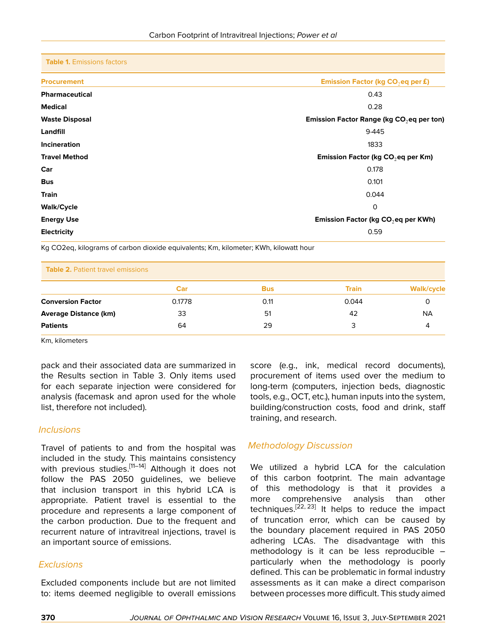|  | <b>Table 1. Emissions factors</b> |  |
|--|-----------------------------------|--|
|--|-----------------------------------|--|

| <b>Procurement</b>    | Emission Factor (kg CO <sub>2</sub> eq per £)   |  |  |  |
|-----------------------|-------------------------------------------------|--|--|--|
| <b>Pharmaceutical</b> | 0.43                                            |  |  |  |
| <b>Medical</b>        | 0.28                                            |  |  |  |
| <b>Waste Disposal</b> | Emission Factor Range (kg $CO2$ eq per ton)     |  |  |  |
| Landfill              | 9-445                                           |  |  |  |
| <b>Incineration</b>   | 1833                                            |  |  |  |
| <b>Travel Method</b>  | Emission Factor (kg CO <sub>2</sub> eq per Km)  |  |  |  |
| Car                   | 0.178                                           |  |  |  |
| <b>Bus</b>            | 0.101                                           |  |  |  |
| <b>Train</b>          | 0.044                                           |  |  |  |
| <b>Walk/Cycle</b>     | 0                                               |  |  |  |
| <b>Energy Use</b>     | Emission Factor (kg CO <sub>2</sub> eq per KWh) |  |  |  |
| <b>Electricity</b>    | 0.59                                            |  |  |  |
|                       |                                                 |  |  |  |

Kg CO2eq, kilograms of carbon dioxide equivalents; Km, kilometer; KWh, kilowatt hour

| <b>Table 2. Patient travel emissions</b> |        |            |              |            |  |  |  |
|------------------------------------------|--------|------------|--------------|------------|--|--|--|
|                                          | Car    | <b>Bus</b> | <b>Train</b> | Walk/cycle |  |  |  |
| <b>Conversion Factor</b>                 | 0.1778 | 0.11       | 0.044        |            |  |  |  |
| <b>Average Distance (km)</b>             | 33     | 51         | 42           | NА         |  |  |  |
| <b>Patients</b>                          | 64     | 29         | 3            |            |  |  |  |

Km, kilometers

pack and their associated data are summarized in the Results section in Table 3. Only items used for each separate injection were considered for analysis (facemask and apron used for the whole list, therefore not included).

#### *Inclusions*

Travel of patients to and from the hospital was included in the study. This maintains consistency with previous studies.<sup>[\[11](#page-8-8)-[14\]](#page-8-10)</sup> Although it does not follow the PAS 2050 guidelines, we believe that inclusion transport in this hybrid LCA is appropriate. Patient travel is essential to the procedure and represents a large component of the carbon production. Due to the frequent and recurrent nature of intravitreal injections, travel is an important source of emissions.

#### *Exclusions*

Excluded components include but are not limited to: items deemed negligible to overall emissions

score (e.g., ink, medical record documents), procurement of items used over the medium to long-term (computers, injection beds, diagnostic tools, e.g., OCT, etc.), human inputs into the system, building/construction costs, food and drink, staff training, and research.

## *Methodology Discussion*

We utilized a hybrid LCA for the calculation of this carbon footprint. The main advantage of this methodology is that it provides a more comprehensive analysis than other techniques.<sup>[[22,](#page-8-17) [23](#page-8-18)]</sup> It helps to reduce the impact of truncation error, which can be caused by the boundary placement required in PAS 2050 adhering LCAs. The disadvantage with this methodology is it can be less reproducible – particularly when the methodology is poorly defined. This can be problematic in formal industry assessments as it can make a direct comparison between processes more difficult. This study aimed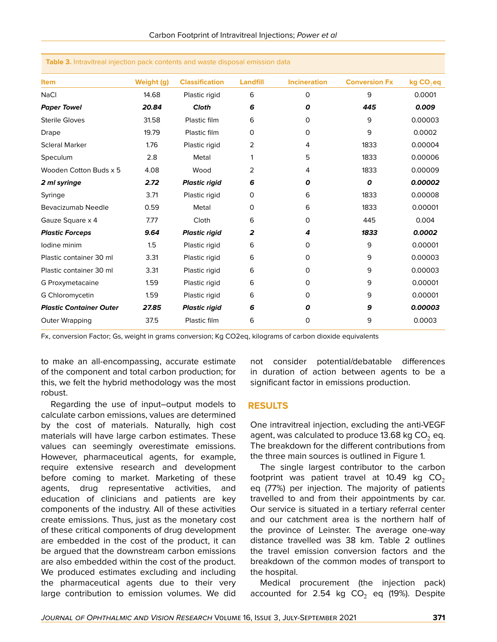| <b>Item</b>                    | Weight (g) | <b>Classification</b> | Landfill | <b>Incineration</b> | <b>Conversion Fx</b> | kg CO <sub>2</sub> eq |
|--------------------------------|------------|-----------------------|----------|---------------------|----------------------|-----------------------|
| <b>NaCl</b>                    | 14.68      | Plastic rigid         | 6        | 0                   | 9                    | 0.0001                |
| <b>Paper Towel</b>             | 20.84      | Cloth                 | 6        | 0                   | 445                  | 0.009                 |
| <b>Sterile Gloves</b>          | 31.58      | Plastic film          | 6        | 0                   | 9                    | 0.00003               |
| Drape                          | 19.79      | Plastic film          | 0        | 0                   | 9                    | 0.0002                |
| <b>Scleral Marker</b>          | 1.76       | Plastic rigid         | 2        | 4                   | 1833                 | 0.00004               |
| Speculum                       | 2.8        | Metal                 | 1        | 5                   | 1833                 | 0.00006               |
| Wooden Cotton Buds x 5         | 4.08       | Wood                  | 2        | 4                   | 1833                 | 0.00009               |
| 2 ml syringe                   | 2.72       | <b>Plastic rigid</b>  | 6        | 0                   | $\boldsymbol{o}$     | 0.00002               |
| Syringe                        | 3.71       | Plastic rigid         | 0        | 6                   | 1833                 | 0.00008               |
| Bevacizumab Needle             | 0.59       | Metal                 | 0        | 6                   | 1833                 | 0.00001               |
| Gauze Square x 4               | 7.77       | Cloth                 | 6        | 0                   | 445                  | 0.004                 |
| <b>Plastic Forceps</b>         | 9.64       | <b>Plastic rigid</b>  | 2        | 4                   | 1833                 | 0.0002                |
| lodine minim                   | 1.5        | Plastic rigid         | 6        | 0                   | 9                    | 0.00001               |
| Plastic container 30 ml        | 3.31       | Plastic rigid         | 6        | 0                   | 9                    | 0.00003               |
| Plastic container 30 ml        | 3.31       | Plastic rigid         | 6        | 0                   | 9                    | 0.00003               |
| G Proxymetacaine               | 1.59       | Plastic rigid         | 6        | 0                   | 9                    | 0.00001               |
| G Chloromycetin                | 1.59       | Plastic rigid         | 6        | 0                   | 9                    | 0.00001               |
| <b>Plastic Container Outer</b> | 27.85      | <b>Plastic rigid</b>  | 6        | 0                   | 9                    | 0.00003               |
| Outer Wrapping                 | 37.5       | Plastic film          | 6        | 0                   | 9                    | 0.0003                |
|                                |            |                       |          |                     |                      |                       |

#### **Table 3.** Intravitreal injection pack contents and waste disposal emission data

Fx, conversion Factor; Gs, weight in grams conversion; Kg CO2eq, kilograms of carbon dioxide equivalents

to make an all-encompassing, accurate estimate of the component and total carbon production; for this, we felt the hybrid methodology was the most robust.

Regarding the use of input–output models to calculate carbon emissions, values are determined by the cost of materials. Naturally, high cost materials will have large carbon estimates. These values can seemingly overestimate emissions. However, pharmaceutical agents, for example, require extensive research and development before coming to market. Marketing of these agents, drug representative activities, and education of clinicians and patients are key components of the industry. All of these activities create emissions. Thus, just as the monetary cost of these critical components of drug development are embedded in the cost of the product, it can be argued that the downstream carbon emissions are also embedded within the cost of the product. We produced estimates excluding and including the pharmaceutical agents due to their very large contribution to emission volumes. We did

not consider potential/debatable differences in duration of action between agents to be a significant factor in emissions production.

#### **RESULTS**

One intravitreal injection, excluding the anti-VEGF agent, was calculated to produce 13.68 kg  $CO<sub>2</sub>$  eq. The breakdown for the different contributions from the three main sources is outlined in Figure 1.

The single largest contributor to the carbon footprint was patient travel at 10.49 kg  $CO<sub>2</sub>$ eq (77%) per injection. The majority of patients travelled to and from their appointments by car. Our service is situated in a tertiary referral center and our catchment area is the northern half of the province of Leinster. The average one-way distance travelled was 38 km. Table 2 outlines the travel emission conversion factors and the breakdown of the common modes of transport to the hospital.

Medical procurement (the injection pack) accounted for 2.54 kg  $CO<sub>2</sub>$  eq (19%). Despite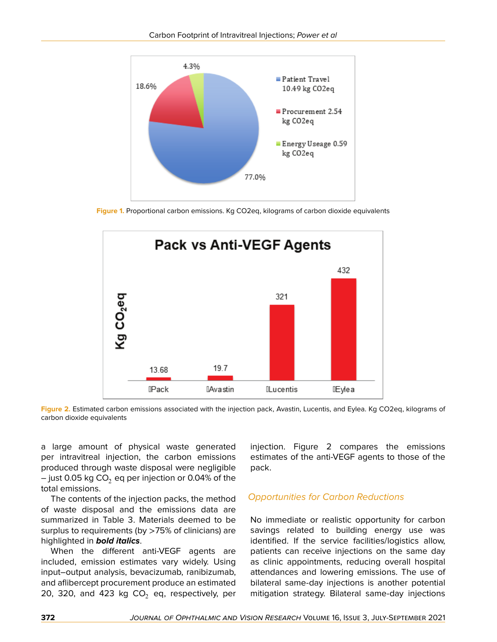

**Figure 1.** Proportional carbon emissions. Kg CO2eq, kilograms of carbon dioxide equivalents



**Figure 2.** Estimated carbon emissions associated with the injection pack, Avastin, Lucentis, and Eylea. Kg CO2eq, kilograms of carbon dioxide equivalents

a large amount of physical waste generated per intravitreal injection, the carbon emissions produced through waste disposal were negligible – just 0.05 kg  $CO<sub>2</sub>$  eq per injection or 0.04% of the total emissions.

The contents of the injection packs, the method of waste disposal and the emissions data are summarized in Table 3. Materials deemed to be surplus to requirements (by >75% of clinicians) are highlighted in *bold italics*.

When the different anti-VEGF agents are included, emission estimates vary widely. Using input–output analysis, bevacizumab, ranibizumab, and aflibercept procurement produce an estimated 20, 320, and 423 kg  $CO<sub>2</sub>$  eq, respectively, per

injection. Figure 2 compares the emissions estimates of the anti-VEGF agents to those of the pack.

## *Opportunities for Carbon Reductions*

No immediate or realistic opportunity for carbon savings related to building energy use was identified. If the service facilities/logistics allow, patients can receive injections on the same day as clinic appointments, reducing overall hospital attendances and lowering emissions. The use of bilateral same-day injections is another potential mitigation strategy. Bilateral same-day injections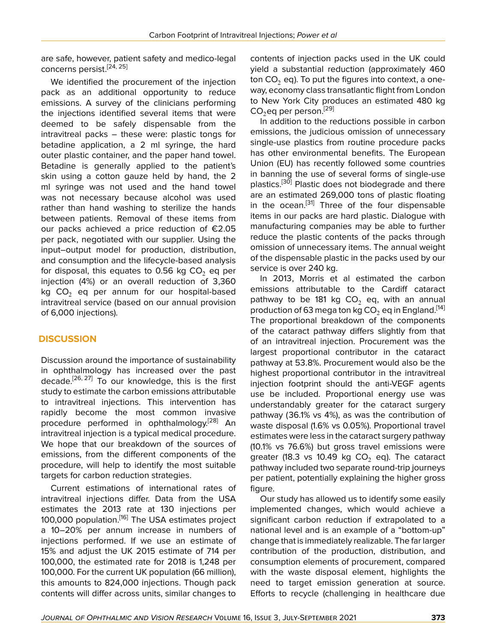are safe, however, patient safety and medico-legal concerns persist.<sup>[[24](#page-8-19), [25](#page-8-20)]</sup>

We identified the procurement of the injection pack as an additional opportunity to reduce emissions. A survey of the clinicians performing the injections identified several items that were deemed to be safely dispensable from the intravitreal packs – these were: plastic tongs for betadine application, a 2 ml syringe, the hard outer plastic container, and the paper hand towel. Betadine is generally applied to the patient's skin using a cotton gauze held by hand, the 2 ml syringe was not used and the hand towel was not necessary because alcohol was used rather than hand washing to sterilize the hands between patients. Removal of these items from our packs achieved a price reduction of €2.05 per pack, negotiated with our supplier. Using the input–output model for production, distribution, and consumption and the lifecycle-based analysis for disposal, this equates to 0.56 kg  $CO<sub>2</sub>$  eq per injection (4%) or an overall reduction of 3,360 kg  $CO<sub>2</sub>$  eq per annum for our hospital-based intravitreal service (based on our annual provision of 6,000 injections).

## **DISCUSSION**

Discussion around the importance of sustainability in ophthalmology has increased over the past decade.[\[26](#page-8-21), [27](#page-8-22)] To our knowledge, this is the first study to estimate the carbon emissions attributable to intravitreal injections. This intervention has rapidly become the most common invasive procedure performed in ophthalmology.<sup>[[28\]](#page-8-23)</sup> An intravitreal injection is a typical medical procedure. We hope that our breakdown of the sources of emissions, from the different components of the procedure, will help to identify the most suitable targets for carbon reduction strategies.

Current estimations of international rates of intravitreal injections differ. Data from the USA estimates the 2013 rate at 130 injections per 100,000 population.<sup>[[16\]](#page-8-12)</sup> The USA estimates project a 10–20% per annum increase in numbers of injections performed. If we use an estimate of 15% and adjust the UK 2015 estimate of 714 per 100,000, the estimated rate for 2018 is 1,248 per 100,000. For the current UK population (66 million), this amounts to 824,000 injections. Though pack contents will differ across units, similar changes to

contents of injection packs used in the UK could yield a substantial reduction (approximately 460 ton  $CO<sub>2</sub>$  eq). To put the figures into context, a oneway, economy class transatlantic flight from London to New York City produces an estimated 480 kg  $CO<sub>2</sub>$ eq per person.<sup>[[29\]](#page-8-24)</sup>

In addition to the reductions possible in carbon emissions, the judicious omission of unnecessary single-use plastics from routine procedure packs has other environmental benefits. The European Union (EU) has recently followed some countries in banning the use of several forms of single-use plastics.[[30\]](#page-9-0) Plastic does not biodegrade and there are an estimated 269,000 tons of plastic floating in the ocean.<sup>[[31\]](#page-9-1)</sup> Three of the four dispensable items in our packs are hard plastic. Dialogue with manufacturing companies may be able to further reduce the plastic contents of the packs through omission of unnecessary items. The annual weight of the dispensable plastic in the packs used by our service is over 240 kg.

In 2013, Morris et al estimated the carbon emissions attributable to the Cardiff cataract pathway to be 181 kg  $CO<sub>2</sub>$  eq, with an annual production of 63 mega ton kg CO<sub>2</sub> eq in England.<sup>[\[14](#page-8-10)]</sup> The proportional breakdown of the components of the cataract pathway differs slightly from that of an intravitreal injection. Procurement was the largest proportional contributor in the cataract pathway at 53.8%. Procurement would also be the highest proportional contributor in the intravitreal injection footprint should the anti-VEGF agents use be included. Proportional energy use was understandably greater for the cataract surgery pathway (36.1% vs 4%), as was the contribution of waste disposal (1.6% vs 0.05%). Proportional travel estimates were less in the cataract surgery pathway (10.1% vs 76.6%) but gross travel emissions were greater (18.3 vs 10.49 kg  $CO<sub>2</sub>$  eq). The cataract pathway included two separate round-trip journeys per patient, potentially explaining the higher gross figure.

Our study has allowed us to identify some easily implemented changes, which would achieve a significant carbon reduction if extrapolated to a national level and is an example of a "bottom-up" change that is immediately realizable. The far larger contribution of the production, distribution, and consumption elements of procurement, compared with the waste disposal element, highlights the need to target emission generation at source. Efforts to recycle (challenging in healthcare due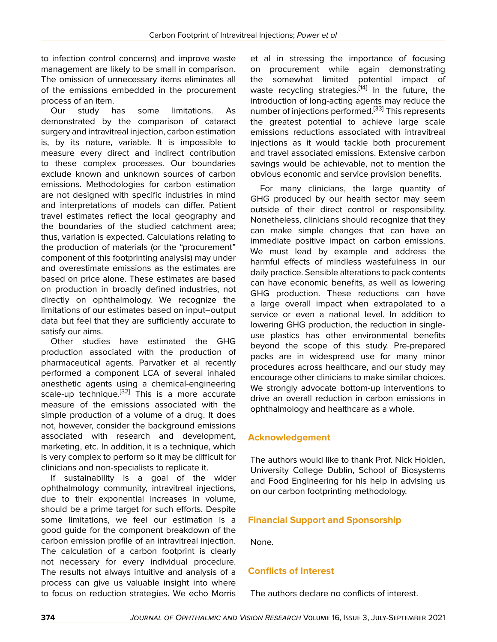to infection control concerns) and improve waste management are likely to be small in comparison. The omission of unnecessary items eliminates all of the emissions embedded in the procurement process of an item.

Our study has some limitations. As demonstrated by the comparison of cataract surgery and intravitreal injection, carbon estimation is, by its nature, variable. It is impossible to measure every direct and indirect contribution to these complex processes. Our boundaries exclude known and unknown sources of carbon emissions. Methodologies for carbon estimation are not designed with specific industries in mind and interpretations of models can differ. Patient travel estimates reflect the local geography and the boundaries of the studied catchment area; thus, variation is expected. Calculations relating to the production of materials (or the "procurement" component of this footprinting analysis) may under and overestimate emissions as the estimates are based on price alone. These estimates are based on production in broadly defined industries, not directly on ophthalmology. We recognize the limitations of our estimates based on input–output data but feel that they are sufficiently accurate to satisfy our aims.

Other studies have estimated the GHG production associated with the production of pharmaceutical agents. Parvatker et al recently performed a component LCA of several inhaled anesthetic agents using a chemical-engineering scale-up technique.<sup>[[32](#page-9-2)]</sup> This is a more accurate measure of the emissions associated with the simple production of a volume of a drug. It does not, however, consider the background emissions associated with research and development, marketing, etc. In addition, it is a technique, which is very complex to perform so it may be difficult for clinicians and non-specialists to replicate it.

If sustainability is a goal of the wider ophthalmology community, intravitreal injections, due to their exponential increases in volume, should be a prime target for such efforts. Despite some limitations, we feel our estimation is a good guide for the component breakdown of the carbon emission profile of an intravitreal injection. The calculation of a carbon footprint is clearly not necessary for every individual procedure. The results not always intuitive and analysis of a process can give us valuable insight into where to focus on reduction strategies. We echo Morris

et al in stressing the importance of focusing on procurement while again demonstrating the somewhat limited potential impact of waste recycling strategies.<sup>[[14\]](#page-8-10)</sup> In the future, the introduction of long-acting agents may reduce the number of injections performed.<sup>[\[33\]](#page-9-3)</sup> This represents the greatest potential to achieve large scale emissions reductions associated with intravitreal injections as it would tackle both procurement and travel associated emissions. Extensive carbon savings would be achievable, not to mention the obvious economic and service provision benefits.

For many clinicians, the large quantity of GHG produced by our health sector may seem outside of their direct control or responsibility. Nonetheless, clinicians should recognize that they can make simple changes that can have an immediate positive impact on carbon emissions. We must lead by example and address the harmful effects of mindless wastefulness in our daily practice. Sensible alterations to pack contents can have economic benefits, as well as lowering GHG production. These reductions can have a large overall impact when extrapolated to a service or even a national level. In addition to lowering GHG production, the reduction in singleuse plastics has other environmental benefits beyond the scope of this study. Pre-prepared packs are in widespread use for many minor procedures across healthcare, and our study may encourage other clinicians to make similar choices. We strongly advocate bottom-up interventions to drive an overall reduction in carbon emissions in ophthalmology and healthcare as a whole.

## **Acknowledgement**

The authors would like to thank Prof. Nick Holden, University College Dublin, School of Biosystems and Food Engineering for his help in advising us on our carbon footprinting methodology.

## **Financial Support and Sponsorship**

None.

## **Conflicts of Interest**

The authors declare no conflicts of interest.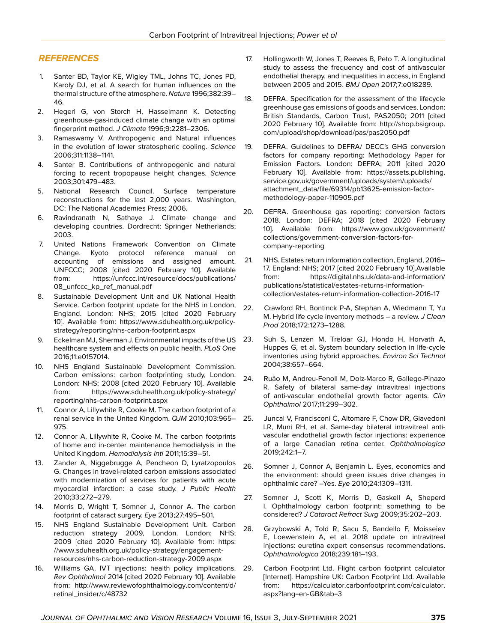## *REFERENCES*

- <span id="page-8-0"></span>1. Santer BD, Taylor KE, Wigley TML, Johns TC, Jones PD, Karoly DJ, et al. A search for human influences on the thermal structure of the atmosphere. *Nature* 1996;382:39– 46.
- 2. Hegerl G, von Storch H, Hasselmann K. Detecting greenhouse-gas-induced climate change with an optimal fingerprint method. *J Climate* 1996;9:2281–2306.
- 3. Ramaswamy V. Anthropogenic and Natural influences in the evolution of lower stratospheric cooling. *Science* 2006;311:1138–1141.
- <span id="page-8-1"></span>4. Santer B. Contributions of anthropogenic and natural forcing to recent tropopause height changes. *Science* 2003;301:479–483.
- <span id="page-8-2"></span>5. National Research Council. Surface temperature reconstructions for the last 2,000 years*.* Washington, DC: The National Academies Press; 2006.
- <span id="page-8-3"></span>6. Ravindranath N, Sathaye J. Climate change and developing countries. Dordrecht: Springer Netherlands; 2003.
- <span id="page-8-4"></span>7. United Nations Framework Convention on Climate Change. Kyoto protocol reference manual on accounting of emissions and assigned amount. UNFCCC; 2008 [cited 2020 February 10]. Available from: [https://unfccc.int/resource/docs/publications/](https://unfccc.int/resource/docs/publications/08_unfccc_kp_ref_manual.pdf) [08\\_unfccc\\_kp\\_ref\\_manual.pdf](https://unfccc.int/resource/docs/publications/08_unfccc_kp_ref_manual.pdf)
- <span id="page-8-5"></span>8. Sustainable Development Unit and UK National Health Service. Carbon footprint update for the NHS in London, England. London: NHS; 2015 [cited 2020 February 10]. Available from: [https://www.sduhealth.org.uk/policy](https://www.sduhealth.org.uk/policy-strategy/reporting/nhs-carbon-footprint.aspx)[strategy/reporting/nhs-carbon-footprint.aspx](https://www.sduhealth.org.uk/policy-strategy/reporting/nhs-carbon-footprint.aspx)
- <span id="page-8-6"></span>9. Eckelman MJ, Sherman J. Environmental impacts of the US 23. healthcare system and effects on public health. *PLoS One* 2016;11:e0157014.
- <span id="page-8-7"></span>10. NHS England Sustainable Development Commission. Carbon emissions: carbon footprinting study, London. London: NHS; 2008 [cited 2020 February 10]. Available from: [https://www.sduhealth.org.uk/policy-strategy/](https://www.sduhealth.org.uk/policy-strategy/reporting/nhs-carbon-footprint.aspx) [reporting/nhs-carbon-footprint.aspx](https://www.sduhealth.org.uk/policy-strategy/reporting/nhs-carbon-footprint.aspx)
- <span id="page-8-8"></span>11. Connor A, Lillywhite R, Cooke M. The carbon footprint of a renal service in the United Kingdom. *QJM* 2010;103:965– 975.
- 12. Connor A, Lillywhite R, Cooke M. The carbon footprints of home and in-center maintenance hemodialysis in the United Kingdom. *Hemodialysis Intl* 2011;15:39–51.
- <span id="page-8-9"></span>13. Zander A, Niggebrugge A, Pencheon D, Lyratzopoulos G. Changes in travel-related carbon emissions associated with modernization of services for patients with acute myocardial infarction: a case study. *J Public Health* 2010;33:272–279.
- <span id="page-8-10"></span>14. Morris D, Wright T, Somner J, Connor A. The carbon footprint of cataract surgery. *Eye* 2013;27:495–501.
- <span id="page-8-11"></span>15. NHS England Sustainable Development Unit. Carbon reduction strategy 2009, London. London: NHS; 2009 [cited 2020 February 10]. Available from: [https:](https://www.sduhealth.org.uk/policy-strategy/engagement-resources/nhs-carbon-reduction-strategy-2009.aspx) [//www.sduhealth.org.uk/policy-strategy/engagement](https://www.sduhealth.org.uk/policy-strategy/engagement-resources/nhs-carbon-reduction-strategy-2009.aspx)[resources/nhs-carbon-reduction-strategy-2009.aspx](https://www.sduhealth.org.uk/policy-strategy/engagement-resources/nhs-carbon-reduction-strategy-2009.aspx)
- <span id="page-8-12"></span>16. Williams GA. IVT injections: health policy implications. *Rev Ophthalmol* 2014 [cited 2020 February 10]. Available from: [http://www.reviewofophthalmology.com/content/d/](http://www.reviewofophthalmology.com/content/ d/retinal_insider/c/48732) [retinal\\_insider/c/48732](http://www.reviewofophthalmology.com/content/ d/retinal_insider/c/48732)
- <span id="page-8-13"></span>17. Hollingworth W, Jones T, Reeves B, Peto T. A longitudinal study to assess the frequency and cost of antivascular endothelial therapy, and inequalities in access, in England between 2005 and 2015. *BMJ Open* 2017;7:e018289.
- 18. DEFRA. Specification for the assessment of the lifecycle greenhouse gas emissions of goods and services. London: British Standards, Carbon Trust, PAS2050; 2011 [cited 2020 February 10]. Available from: [http://shop.bsigroup.](http://shop.bsigroup.com/upload/shop/download/pas/pas2050.pdf) [com/upload/shop/download/pas/pas2050.pdf](http://shop.bsigroup.com/upload/shop/download/pas/pas2050.pdf)
- <span id="page-8-14"></span>19. DEFRA. Guidelines to DEFRA/ DECC's GHG conversion factors for company reporting: Methodology Paper for Emission Factors. London: DEFRA; 2011 [cited 2020 February 10]. Available from: [https://assets.publishing.](https://assets.publishing.service.gov.uk/government/uploads/system/uploads/attachment_data/file/69314/pb13625-emission-factor-methodology-paper-110905.pdf) [service.gov.uk/government/uploads/system/uploads/](https://assets.publishing.service.gov.uk/government/uploads/system/uploads/attachment_data/file/69314/pb13625-emission-factor-methodology-paper-110905.pdf) [attachment\\_data/file/69314/pb13625-emission-factor](https://assets.publishing.service.gov.uk/government/uploads/system/uploads/attachment_data/file/69314/pb13625-emission-factor-methodology-paper-110905.pdf)[methodology-paper-110905.pdf](https://assets.publishing.service.gov.uk/government/uploads/system/uploads/attachment_data/file/69314/pb13625-emission-factor-methodology-paper-110905.pdf)
- <span id="page-8-15"></span>20. DEFRA. Greenhouse gas reporting: conversion factors 2018. London: DEFRA; 2018 [cited 2020 February 10]. Available from: [https://www.gov.uk/government/](https://www.gov.uk/government/collections/government-conversion-factors-for-company-reporting) [collections/government-conversion-factors-for](https://www.gov.uk/government/collections/government-conversion-factors-for-company-reporting)[company-reporting](https://www.gov.uk/government/collections/government-conversion-factors-for-company-reporting)
- <span id="page-8-16"></span>21. NHS. Estates return information collection, England, 2016– 17. England: NHS; 2017 [cited 2020 February 10].Available from: [https://digital.nhs.uk/data-and-information/](https://digital.nhs.uk/data-and-information/publications/statistical/estates-returns-information-collection/estates-return-information-collection-2016-17) [publications/statistical/estates-returns-information](https://digital.nhs.uk/data-and-information/publications/statistical/estates-returns-information-collection/estates-return-information-collection-2016-17)[collection/estates-return-information-collection-2016-17](https://digital.nhs.uk/data-and-information/publications/statistical/estates-returns-information-collection/estates-return-information-collection-2016-17)
- <span id="page-8-17"></span>22. Crawford RH, Bontinck P-A, Stephan A, Wiedmann T, Yu M. Hybrid life cycle inventory methods – a review. *J Clean Prod* 2018;172:1273–1288.
- <span id="page-8-18"></span>Suh S, Lenzen M, Treloar GJ, Hondo H, Horvath A, Huppes G, et al. System boundary selection in life-cycle inventories using hybrid approaches. *Environ Sci Technol* 2004;38:657–664.
- <span id="page-8-19"></span>24. Ruão M, Andreu-Fenoll M, Dolz-Marco R, Gallego-Pinazo R. Safety of bilateral same-day intravitreal injections of anti-vascular endothelial growth factor agents. *Clin Ophthalmol* 2017;11:299–302.
- <span id="page-8-20"></span>25. Juncal V, Francisconi C, Altomare F, Chow DR, Giavedoni LR, Muni RH, et al. Same-day bilateral intravitreal antivascular endothelial growth factor injections: experience of a large Canadian retina center. *Ophthalmologica* 2019;242:1–7.
- <span id="page-8-21"></span>26. Somner J, Connor A, Benjamin L. Eyes, economics and the environment: should green issues drive changes in ophthalmic care? –Yes. *Eye* 2010;24:1309–1311.
- <span id="page-8-22"></span>27. Somner J, Scott K, Morris D, Gaskell A, Sheperd I. Ophthalmology carbon footprint: something to be considered? *J Cataract Refract Surg* 2009;35:202–203.
- <span id="page-8-23"></span>28. Grzybowski A, Told R, Sacu S, Bandello F, Moisseiev E, Loewenstein A, et al. 2018 update on intravitreal injections: euretina expert consensus recommendations. *Ophthalmologica* 2018;239:181–193.
- <span id="page-8-24"></span>29. Carbon Footprint Ltd. Flight carbon footprint calculator [Internet]. Hampshire UK: Carbon Footprint Ltd. Available from: [https://calculator.carbonfootprint.com/calculator.](https://calculator.carbonfootprint.com/calculator.aspx?lang=en-GB&tab=3) [aspx?lang=en-GB&tab=3](https://calculator.carbonfootprint.com/calculator.aspx?lang=en-GB&tab=3)